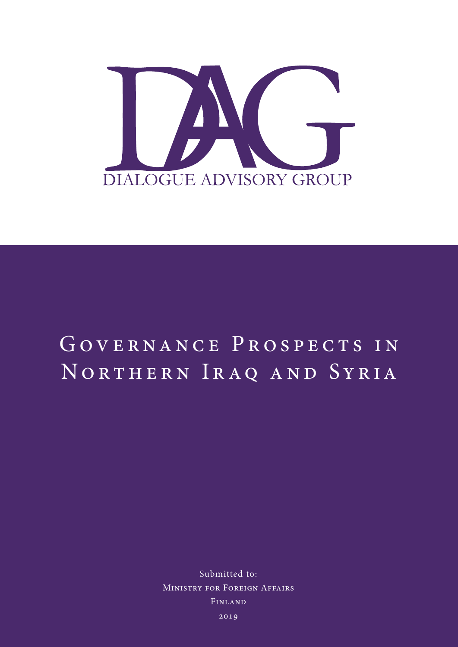

# GOVERNANCE PROSPECTS IN NORTHERN IRAQ AND SYRIA

Submitted to: Ministry for Foreign Affairs Finland

2019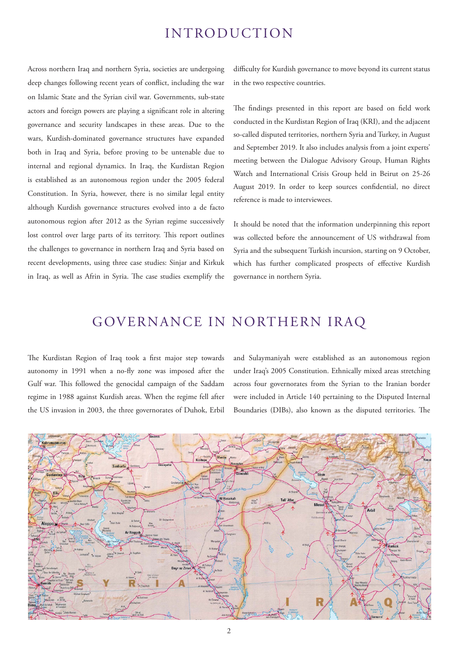## INTRODUCTION

Across northern Iraq and northern Syria, societies are undergoing deep changes following recent years of conflict, including the war on Islamic State and the Syrian civil war. Governments, sub-state actors and foreign powers are playing a significant role in altering governance and security landscapes in these areas. Due to the wars, Kurdish-dominated governance structures have expanded both in Iraq and Syria, before proving to be untenable due to internal and regional dynamics. In Iraq, the Kurdistan Region is established as an autonomous region under the 2005 federal Constitution. In Syria, however, there is no similar legal entity although Kurdish governance structures evolved into a de facto autonomous region after 2012 as the Syrian regime successively lost control over large parts of its territory. This report outlines the challenges to governance in northern Iraq and Syria based on recent developments, using three case studies: Sinjar and Kirkuk in Iraq, as well as Afrin in Syria. The case studies exemplify the difficulty for Kurdish governance to move beyond its current status in the two respective countries.

The findings presented in this report are based on field work conducted in the Kurdistan Region of Iraq (KRI), and the adjacent so-called disputed territories, northern Syria and Turkey, in August and September 2019. It also includes analysis from a joint experts' meeting between the Dialogue Advisory Group, Human Rights Watch and International Crisis Group held in Beirut on 25-26 August 2019. In order to keep sources confidential, no direct reference is made to interviewees.

It should be noted that the information underpinning this report was collected before the announcement of US withdrawal from Syria and the subsequent Turkish incursion, starting on 9 October, which has further complicated prospects of effective Kurdish governance in northern Syria.

## GOVERNANCE IN NORTHERN IRAQ

The Kurdistan Region of Iraq took a first major step towards autonomy in 1991 when a no-fly zone was imposed after the Gulf war. This followed the genocidal campaign of the Saddam regime in 1988 against Kurdish areas. When the regime fell after the US invasion in 2003, the three governorates of Duhok, Erbil and Sulaymaniyah were established as an autonomous region under Iraq's 2005 Constitution. Ethnically mixed areas stretching across four governorates from the Syrian to the Iranian border were included in Article 140 pertaining to the Disputed Internal Boundaries (DIBs), also known as the disputed territories. The

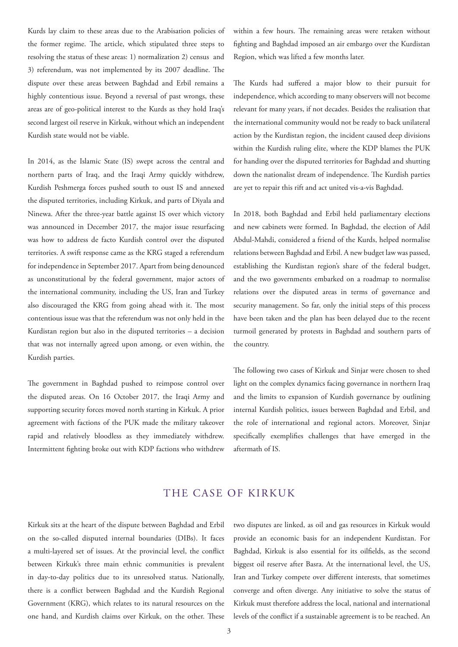Kurds lay claim to these areas due to the Arabisation policies of the former regime. The article, which stipulated three steps to resolving the status of these areas: 1) normalization 2) census and 3) referendum, was not implemented by its 2007 deadline. The dispute over these areas between Baghdad and Erbil remains a highly contentious issue. Beyond a reversal of past wrongs, these areas are of geo-political interest to the Kurds as they hold Iraq's second largest oil reserve in Kirkuk, without which an independent Kurdish state would not be viable.

In 2014, as the Islamic State (IS) swept across the central and northern parts of Iraq, and the Iraqi Army quickly withdrew, Kurdish Peshmerga forces pushed south to oust IS and annexed the disputed territories, including Kirkuk, and parts of Diyala and Ninewa. After the three-year battle against IS over which victory was announced in December 2017, the major issue resurfacing was how to address de facto Kurdish control over the disputed territories. A swift response came as the KRG staged a referendum for independence in September 2017. Apart from being denounced as unconstitutional by the federal government, major actors of the international community, including the US, Iran and Turkey also discouraged the KRG from going ahead with it. The most contentious issue was that the referendum was not only held in the Kurdistan region but also in the disputed territories – a decision that was not internally agreed upon among, or even within, the Kurdish parties.

The government in Baghdad pushed to reimpose control over the disputed areas. On 16 October 2017, the Iraqi Army and supporting security forces moved north starting in Kirkuk. A prior agreement with factions of the PUK made the military takeover rapid and relatively bloodless as they immediately withdrew. Intermittent fighting broke out with KDP factions who withdrew

within a few hours. The remaining areas were retaken without fighting and Baghdad imposed an air embargo over the Kurdistan Region, which was lifted a few months later.

The Kurds had suffered a major blow to their pursuit for independence, which according to many observers will not become relevant for many years, if not decades. Besides the realisation that the international community would not be ready to back unilateral action by the Kurdistan region, the incident caused deep divisions within the Kurdish ruling elite, where the KDP blames the PUK for handing over the disputed territories for Baghdad and shutting down the nationalist dream of independence. The Kurdish parties are yet to repair this rift and act united vis-a-vis Baghdad.

In 2018, both Baghdad and Erbil held parliamentary elections and new cabinets were formed. In Baghdad, the election of Adil Abdul-Mahdi, considered a friend of the Kurds, helped normalise relations between Baghdad and Erbil. A new budget law was passed, establishing the Kurdistan region's share of the federal budget, and the two governments embarked on a roadmap to normalise relations over the disputed areas in terms of governance and security management. So far, only the initial steps of this process have been taken and the plan has been delayed due to the recent turmoil generated by protests in Baghdad and southern parts of the country.

The following two cases of Kirkuk and Sinjar were chosen to shed light on the complex dynamics facing governance in northern Iraq and the limits to expansion of Kurdish governance by outlining internal Kurdish politics, issues between Baghdad and Erbil, and the role of international and regional actors. Moreover, Sinjar specifically exemplifies challenges that have emerged in the aftermath of IS.

#### THE CASE OF KIRKUK

Kirkuk sits at the heart of the dispute between Baghdad and Erbil on the so-called disputed internal boundaries (DIBs). It faces a multi-layered set of issues. At the provincial level, the conflict between Kirkuk's three main ethnic communities is prevalent in day-to-day politics due to its unresolved status. Nationally, there is a conflict between Baghdad and the Kurdish Regional Government (KRG), which relates to its natural resources on the one hand, and Kurdish claims over Kirkuk, on the other. These two disputes are linked, as oil and gas resources in Kirkuk would provide an economic basis for an independent Kurdistan. For Baghdad, Kirkuk is also essential for its oilfields, as the second biggest oil reserve after Basra. At the international level, the US, Iran and Turkey compete over different interests, that sometimes converge and often diverge. Any initiative to solve the status of Kirkuk must therefore address the local, national and international levels of the conflict if a sustainable agreement is to be reached. An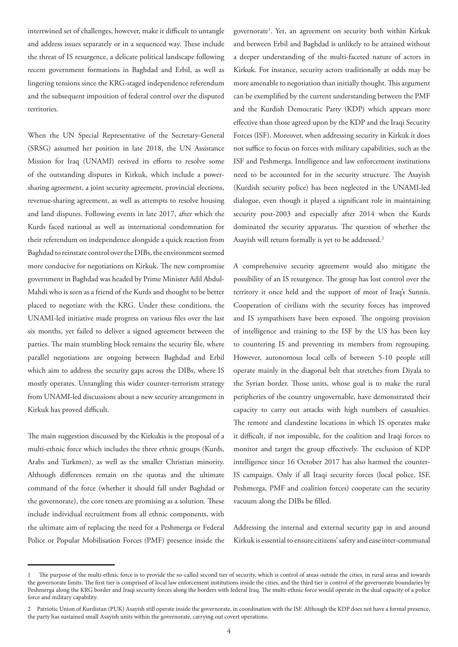intertwined set of challenges, however, make it difficult to untangle and address issues separately or in a sequenced way. These include the threat of IS resurgence, a delicate political landscape following recent government formations in Baghdad and Erbil, as well as lingering tensions since the KRG-staged independence referendum and the subsequent imposition of federal control over the disputed territories.

When the UN Special Representative of the Secretary-General (SRSG) assumed her position in late 2018, the UN Assistance Mission for Iraq (UNAMI) revived its efforts to resolve some of the outstanding disputes in Kirkuk, which include a powersharing agreement, a joint security agreement, provincial elections, revenue-sharing agreement, as well as attempts to resolve housing and land disputes. Following events in late 2017, after which the Kurds faced national as well as international condemnation for their referendum on independence alongside a quick reaction from Baghdad to reinstate control over the DIBs, the environment seemed more conducive for negotiations on Kirkuk. The new compromise government in Baghdad was headed by Prime Minister Adil Abdul-Mahdi who is seen as a friend of the Kurds and thought to be better placed to negotiate with the KRG. Under these conditions, the UNAMI-led initiative made progress on various files over the last six months, yet failed to deliver a signed agreement between the parties. The main stumbling block remains the security file, where parallel negotiations are ongoing between Baghdad and Erbil which aim to address the security gaps across the DIBs, where IS mostly operates. Untangling this wider counter-terrorism strategy from UNAMI-led discussions about a new security arrangement in Kirkuk has proved difficult.

The main suggestion discussed by the Kirkukis is the proposal of a multi-ethnic force which includes the three ethnic groups (Kurds, Arabs and Turkmen), as well as the smaller Christian minority. Although differences remain on the quotas and the ultimate command of the force (whether it should fall under Baghdad or the governorate), the core tenets are promising as a solution. These include individual recruitment from all ethnic components, with the ultimate aim of replacing the need for a Peshmerga or Federal Police or Popular Mobilisation Forces (PMF) presence inside the

governorate<sup>1</sup>. Yet, an agreement on security both within Kirkuk and between Erbil and Baghdad is unlikely to be attained without a deeper understanding of the multi-faceted nature of actors in Kirkuk. For instance, security actors traditionally at odds may be more amenable to negotiation than initially thought. This argument can be exemplified by the current understanding between the PMF and the Kurdish Democratic Party (KDP) which appears more effective than those agreed upon by the KDP and the Iraqi Security Forces (ISF). Moreover, when addressing security in Kirkuk it does not suffice to focus on forces with military capabilities, such as the ISF and Peshmerga. Intelligence and law enforcement institutions need to be accounted for in the security structure. The Asayish (Kurdish security police) has been neglected in the UNAMI-led dialogue, even though it played a significant role in maintaining security post-2003 and especially after 2014 when the Kurds dominated the security apparatus. The question of whether the Asayish will return formally is yet to be addressed.<sup>2</sup>

A comprehensive security agreement would also mitigate the possibility of an IS resurgence. The group has lost control over the territory it once held and the support of most of Iraq's Sunnis. Cooperation of civilians with the security forces has improved and IS sympathisers have been exposed. The ongoing provision of intelligence and training to the ISF by the US has been key to countering IS and preventing its members from regrouping. However, autonomous local cells of between 5-10 people still operate mainly in the diagonal belt that stretches from Diyala to the Syrian border. Those units, whose goal is to make the rural peripheries of the country ungovernable, have demonstrated their capacity to carry out attacks with high numbers of casualties. The remote and clandestine locations in which IS operates make it difficult, if not impossible, for the coalition and Iraqi forces to monitor and target the group effectively. The exclusion of KDP intelligence since 16 October 2017 has also harmed the counter-IS campaign. Only if all Iraqi security forces (local police, ISF, Peshmerga, PMF and coalition forces) cooperate can the security vacuum along the DIBs be filled.

Addressing the internal and external security gap in and around Kirkuk is essential to ensure citizens' safety and ease inter-communal

<sup>1</sup> The purpose of the multi-ethnic force is to provide the so-called second tier of security, which is control of areas outside the cities, in rural areas and towards the governorate limits. The first tier is comprised of local law enforcement institutions inside the cities, and the third tier is control of the governorate boundaries by Peshmerga along the KRG border and Iraqi security forces along the borders with federal Iraq. The multi-ethnic force would operate in the dual capacity of a police force and military capability.

<sup>2</sup> Patriotic Union of Kurdistan (PUK) Asayish still operate inside the governorate, in coordination with the ISF. Although the KDP does not have a formal presence, the party has sustained small Asayish units within the governorate, carrying out covert operations.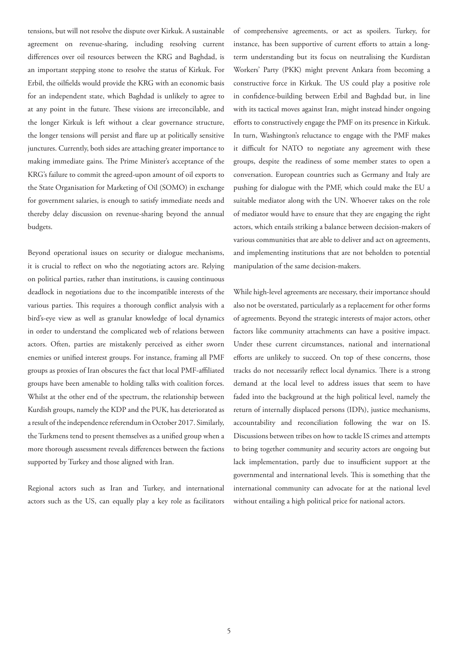tensions, but will not resolve the dispute over Kirkuk. A sustainable agreement on revenue-sharing, including resolving current differences over oil resources between the KRG and Baghdad, is an important stepping stone to resolve the status of Kirkuk. For Erbil, the oilfields would provide the KRG with an economic basis for an independent state, which Baghdad is unlikely to agree to at any point in the future. These visions are irreconcilable, and the longer Kirkuk is left without a clear governance structure, the longer tensions will persist and flare up at politically sensitive junctures. Currently, both sides are attaching greater importance to making immediate gains. The Prime Minister's acceptance of the KRG's failure to commit the agreed-upon amount of oil exports to the State Organisation for Marketing of Oil (SOMO) in exchange for government salaries, is enough to satisfy immediate needs and thereby delay discussion on revenue-sharing beyond the annual budgets.

Beyond operational issues on security or dialogue mechanisms, it is crucial to reflect on who the negotiating actors are. Relying on political parties, rather than institutions, is causing continuous deadlock in negotiations due to the incompatible interests of the various parties. This requires a thorough conflict analysis with a bird's-eye view as well as granular knowledge of local dynamics in order to understand the complicated web of relations between actors. Often, parties are mistakenly perceived as either sworn enemies or unified interest groups. For instance, framing all PMF groups as proxies of Iran obscures the fact that local PMF-affiliated groups have been amenable to holding talks with coalition forces. Whilst at the other end of the spectrum, the relationship between Kurdish groups, namely the KDP and the PUK, has deteriorated as a result of the independence referendum in October 2017. Similarly, the Turkmens tend to present themselves as a unified group when a more thorough assessment reveals differences between the factions supported by Turkey and those aligned with Iran.

Regional actors such as Iran and Turkey, and international actors such as the US, can equally play a key role as facilitators of comprehensive agreements, or act as spoilers. Turkey, for instance, has been supportive of current efforts to attain a longterm understanding but its focus on neutralising the Kurdistan Workers' Party (PKK) might prevent Ankara from becoming a constructive force in Kirkuk. The US could play a positive role in confidence-building between Erbil and Baghdad but, in line with its tactical moves against Iran, might instead hinder ongoing efforts to constructively engage the PMF on its presence in Kirkuk. In turn, Washington's reluctance to engage with the PMF makes it difficult for NATO to negotiate any agreement with these groups, despite the readiness of some member states to open a conversation. European countries such as Germany and Italy are pushing for dialogue with the PMF, which could make the EU a suitable mediator along with the UN. Whoever takes on the role of mediator would have to ensure that they are engaging the right actors, which entails striking a balance between decision-makers of various communities that are able to deliver and act on agreements, and implementing institutions that are not beholden to potential manipulation of the same decision-makers.

While high-level agreements are necessary, their importance should also not be overstated, particularly as a replacement for other forms of agreements. Beyond the strategic interests of major actors, other factors like community attachments can have a positive impact. Under these current circumstances, national and international efforts are unlikely to succeed. On top of these concerns, those tracks do not necessarily reflect local dynamics. There is a strong demand at the local level to address issues that seem to have faded into the background at the high political level, namely the return of internally displaced persons (IDPs), justice mechanisms, accountability and reconciliation following the war on IS. Discussions between tribes on how to tackle IS crimes and attempts to bring together community and security actors are ongoing but lack implementation, partly due to insufficient support at the governmental and international levels. This is something that the international community can advocate for at the national level without entailing a high political price for national actors.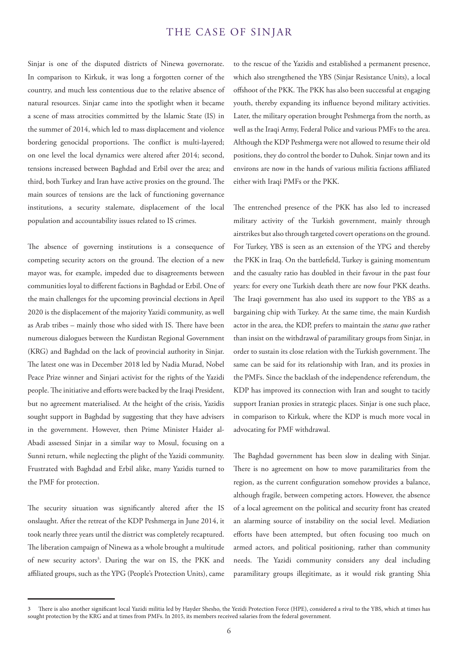#### THE CASE OF SINJAR

Sinjar is one of the disputed districts of Ninewa governorate. In comparison to Kirkuk, it was long a forgotten corner of the country, and much less contentious due to the relative absence of natural resources. Sinjar came into the spotlight when it became a scene of mass atrocities committed by the Islamic State (IS) in the summer of 2014, which led to mass displacement and violence bordering genocidal proportions. The conflict is multi-layered; on one level the local dynamics were altered after 2014; second, tensions increased between Baghdad and Erbil over the area; and third, both Turkey and Iran have active proxies on the ground. The main sources of tensions are the lack of functioning governance institutions, a security stalemate, displacement of the local population and accountability issues related to IS crimes.

The absence of governing institutions is a consequence of competing security actors on the ground. The election of a new mayor was, for example, impeded due to disagreements between communities loyal to different factions in Baghdad or Erbil. One of the main challenges for the upcoming provincial elections in April 2020 is the displacement of the majority Yazidi community, as well as Arab tribes – mainly those who sided with IS. There have been numerous dialogues between the Kurdistan Regional Government (KRG) and Baghdad on the lack of provincial authority in Sinjar. The latest one was in December 2018 led by Nadia Murad, Nobel Peace Prize winner and Sinjari activist for the rights of the Yazidi people. The initiative and efforts were backed by the Iraqi President, but no agreement materialised. At the height of the crisis, Yazidis sought support in Baghdad by suggesting that they have advisers in the government. However, then Prime Minister Haider al-Abadi assessed Sinjar in a similar way to Mosul, focusing on a Sunni return, while neglecting the plight of the Yazidi community. Frustrated with Baghdad and Erbil alike, many Yazidis turned to the PMF for protection.

The security situation was significantly altered after the IS onslaught. After the retreat of the KDP Peshmerga in June 2014, it took nearly three years until the district was completely recaptured. The liberation campaign of Ninewa as a whole brought a multitude of new security actors<sup>3</sup>. During the war on IS, the PKK and affiliated groups, such as the YPG (People's Protection Units), came

to the rescue of the Yazidis and established a permanent presence, which also strengthened the YBS (Sinjar Resistance Units), a local offshoot of the PKK. The PKK has also been successful at engaging youth, thereby expanding its influence beyond military activities. Later, the military operation brought Peshmerga from the north, as well as the Iraqi Army, Federal Police and various PMFs to the area. Although the KDP Peshmerga were not allowed to resume their old positions, they do control the border to Duhok. Sinjar town and its environs are now in the hands of various militia factions affiliated either with Iraqi PMFs or the PKK.

The entrenched presence of the PKK has also led to increased military activity of the Turkish government, mainly through airstrikes but also through targeted covert operations on the ground. For Turkey, YBS is seen as an extension of the YPG and thereby the PKK in Iraq. On the battlefield, Turkey is gaining momentum and the casualty ratio has doubled in their favour in the past four years: for every one Turkish death there are now four PKK deaths. The Iraqi government has also used its support to the YBS as a bargaining chip with Turkey. At the same time, the main Kurdish actor in the area, the KDP, prefers to maintain the *status quo* rather than insist on the withdrawal of paramilitary groups from Sinjar, in order to sustain its close relation with the Turkish government. The same can be said for its relationship with Iran, and its proxies in the PMFs. Since the backlash of the independence referendum, the KDP has improved its connection with Iran and sought to tacitly support Iranian proxies in strategic places. Sinjar is one such place, in comparison to Kirkuk, where the KDP is much more vocal in advocating for PMF withdrawal.

The Baghdad government has been slow in dealing with Sinjar. There is no agreement on how to move paramilitaries from the region, as the current configuration somehow provides a balance, although fragile, between competing actors. However, the absence of a local agreement on the political and security front has created an alarming source of instability on the social level. Mediation efforts have been attempted, but often focusing too much on armed actors, and political positioning, rather than community needs. The Yazidi community considers any deal including paramilitary groups illegitimate, as it would risk granting Shia

<sup>3</sup> There is also another significant local Yazidi militia led by Hayder Shesho, the Yezidi Protection Force (HPE), considered a rival to the YBS, which at times has sought protection by the KRG and at times from PMFs. In 2015, its members received salaries from the federal government.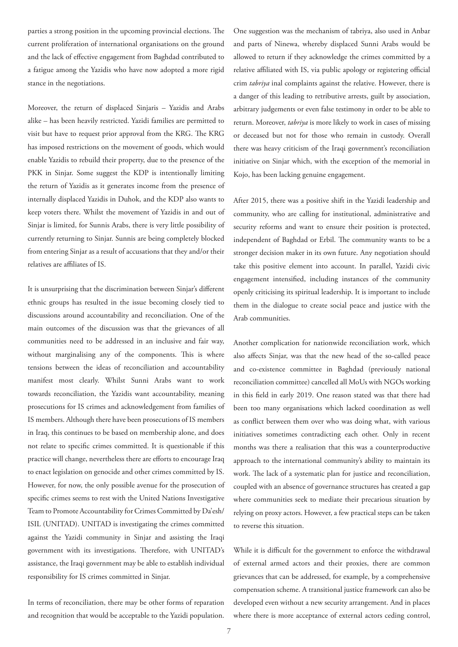parties a strong position in the upcoming provincial elections. The current proliferation of international organisations on the ground and the lack of effective engagement from Baghdad contributed to a fatigue among the Yazidis who have now adopted a more rigid stance in the negotiations.

Moreover, the return of displaced Sinjaris – Yazidis and Arabs alike – has been heavily restricted. Yazidi families are permitted to visit but have to request prior approval from the KRG. The KRG has imposed restrictions on the movement of goods, which would enable Yazidis to rebuild their property, due to the presence of the PKK in Sinjar. Some suggest the KDP is intentionally limiting the return of Yazidis as it generates income from the presence of internally displaced Yazidis in Duhok, and the KDP also wants to keep voters there. Whilst the movement of Yazidis in and out of Sinjar is limited, for Sunnis Arabs, there is very little possibility of currently returning to Sinjar. Sunnis are being completely blocked from entering Sinjar as a result of accusations that they and/or their relatives are affiliates of IS.

It is unsurprising that the discrimination between Sinjar's different ethnic groups has resulted in the issue becoming closely tied to discussions around accountability and reconciliation. One of the main outcomes of the discussion was that the grievances of all communities need to be addressed in an inclusive and fair way, without marginalising any of the components. This is where tensions between the ideas of reconciliation and accountability manifest most clearly. Whilst Sunni Arabs want to work towards reconciliation, the Yazidis want accountability, meaning prosecutions for IS crimes and acknowledgement from families of IS members. Although there have been prosecutions of IS members in Iraq, this continues to be based on membership alone, and does not relate to specific crimes committed. It is questionable if this practice will change, nevertheless there are efforts to encourage Iraq to enact legislation on genocide and other crimes committed by IS. However, for now, the only possible avenue for the prosecution of specific crimes seems to rest with the United Nations Investigative Team to Promote Accountability for Crimes Committed by Da'esh/ ISIL (UNITAD). UNITAD is investigating the crimes committed against the Yazidi community in Sinjar and assisting the Iraqi government with its investigations. Therefore, with UNITAD's assistance, the Iraqi government may be able to establish individual responsibility for IS crimes committed in Sinjar.

In terms of reconciliation, there may be other forms of reparation and recognition that would be acceptable to the Yazidi population.

One suggestion was the mechanism of tabriya, also used in Anbar and parts of Ninewa, whereby displaced Sunni Arabs would be allowed to return if they acknowledge the crimes committed by a relative affiliated with IS, via public apology or registering official crim *tabriya* inal complaints against the relative. However, there is a danger of this leading to retributive arrests, guilt by association, arbitrary judgements or even false testimony in order to be able to return. Moreover, *tabriya* is more likely to work in cases of missing or deceased but not for those who remain in custody. Overall there was heavy criticism of the Iraqi government's reconciliation initiative on Sinjar which, with the exception of the memorial in Kojo, has been lacking genuine engagement.

After 2015, there was a positive shift in the Yazidi leadership and community, who are calling for institutional, administrative and security reforms and want to ensure their position is protected, independent of Baghdad or Erbil. The community wants to be a stronger decision maker in its own future. Any negotiation should take this positive element into account. In parallel, Yazidi civic engagement intensified, including instances of the community openly criticising its spiritual leadership. It is important to include them in the dialogue to create social peace and justice with the Arab communities.

Another complication for nationwide reconciliation work, which also affects Sinjar, was that the new head of the so-called peace and co-existence committee in Baghdad (previously national reconciliation committee) cancelled all MoUs with NGOs working in this field in early 2019. One reason stated was that there had been too many organisations which lacked coordination as well as conflict between them over who was doing what, with various initiatives sometimes contradicting each other. Only in recent months was there a realisation that this was a counterproductive approach to the international community's ability to maintain its work. The lack of a systematic plan for justice and reconciliation, coupled with an absence of governance structures has created a gap where communities seek to mediate their precarious situation by relying on proxy actors. However, a few practical steps can be taken to reverse this situation.

While it is difficult for the government to enforce the withdrawal of external armed actors and their proxies, there are common grievances that can be addressed, for example, by a comprehensive compensation scheme. A transitional justice framework can also be developed even without a new security arrangement. And in places where there is more acceptance of external actors ceding control,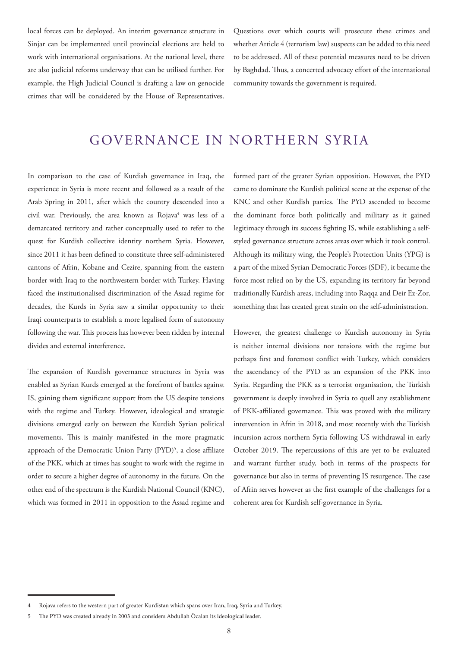local forces can be deployed. An interim governance structure in Sinjar can be implemented until provincial elections are held to work with international organisations. At the national level, there are also judicial reforms underway that can be utilised further. For example, the High Judicial Council is drafting a law on genocide crimes that will be considered by the House of Representatives.

Questions over which courts will prosecute these crimes and whether Article 4 (terrorism law) suspects can be added to this need to be addressed. All of these potential measures need to be driven by Baghdad. Thus, a concerted advocacy effort of the international community towards the government is required.

### GOVERNANCE IN NORTHERN SYRIA

In comparison to the case of Kurdish governance in Iraq, the experience in Syria is more recent and followed as a result of the Arab Spring in 2011, after which the country descended into a civil war. Previously, the area known as Rojava<sup>4</sup> was less of a demarcated territory and rather conceptually used to refer to the quest for Kurdish collective identity northern Syria. However, since 2011 it has been defined to constitute three self-administered cantons of Afrin, Kobane and Cezire, spanning from the eastern border with Iraq to the northwestern border with Turkey. Having faced the institutionalised discrimination of the Assad regime for decades, the Kurds in Syria saw a similar opportunity to their Iraqi counterparts to establish a more legalised form of autonomy following the war. This process has however been ridden by internal divides and external interference.

The expansion of Kurdish governance structures in Syria was enabled as Syrian Kurds emerged at the forefront of battles against IS, gaining them significant support from the US despite tensions with the regime and Turkey. However, ideological and strategic divisions emerged early on between the Kurdish Syrian political movements. This is mainly manifested in the more pragmatic approach of the Democratic Union Party (PYD)<sup>5</sup>, a close affiliate of the PKK, which at times has sought to work with the regime in order to secure a higher degree of autonomy in the future. On the other end of the spectrum is the Kurdish National Council (KNC), which was formed in 2011 in opposition to the Assad regime and

formed part of the greater Syrian opposition. However, the PYD came to dominate the Kurdish political scene at the expense of the KNC and other Kurdish parties. The PYD ascended to become the dominant force both politically and military as it gained legitimacy through its success fighting IS, while establishing a selfstyled governance structure across areas over which it took control. Although its military wing, the People's Protection Units (YPG) is a part of the mixed Syrian Democratic Forces (SDF), it became the force most relied on by the US, expanding its territory far beyond traditionally Kurdish areas, including into Raqqa and Deir Ez-Zor, something that has created great strain on the self-administration.

However, the greatest challenge to Kurdish autonomy in Syria is neither internal divisions nor tensions with the regime but perhaps first and foremost conflict with Turkey, which considers the ascendancy of the PYD as an expansion of the PKK into Syria. Regarding the PKK as a terrorist organisation, the Turkish government is deeply involved in Syria to quell any establishment of PKK-affiliated governance. This was proved with the military intervention in Afrin in 2018, and most recently with the Turkish incursion across northern Syria following US withdrawal in early October 2019. The repercussions of this are yet to be evaluated and warrant further study, both in terms of the prospects for governance but also in terms of preventing IS resurgence. The case of Afrin serves however as the first example of the challenges for a coherent area for Kurdish self-governance in Syria.

<sup>4</sup> Rojava refers to the western part of greater Kurdistan which spans over Iran, Iraq, Syria and Turkey.

<sup>5</sup> The PYD was created already in 2003 and considers Abdullah Öcalan its ideological leader.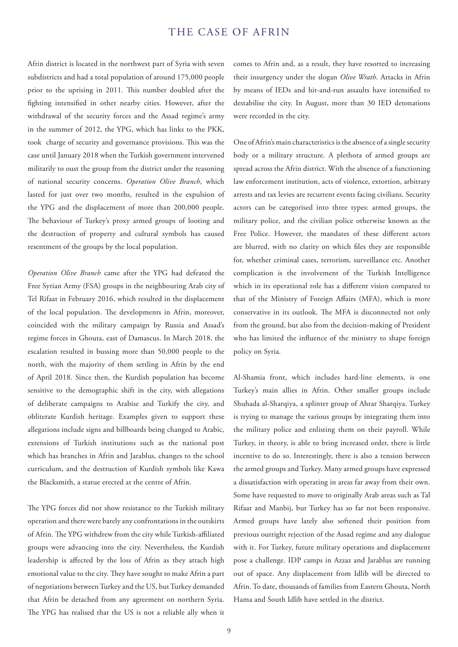#### THE CASE OF AFRIN

Afrin district is located in the northwest part of Syria with seven subdistricts and had a total population of around 175,000 people prior to the uprising in 2011. This number doubled after the fighting intensified in other nearby cities. However, after the withdrawal of the security forces and the Assad regime's army in the summer of 2012, the YPG, which has links to the PKK, took charge of security and governance provisions. This was the case until January 2018 when the Turkish government intervened militarily to oust the group from the district under the reasoning of national security concerns. *Operation Olive Branch*, which lasted for just over two months, resulted in the expulsion of the YPG and the displacement of more than 200,000 people. The behaviour of Turkey's proxy armed groups of looting and the destruction of property and cultural symbols has caused resentment of the groups by the local population.

*Operation Olive Branch* came after the YPG had defeated the Free Syrian Army (FSA) groups in the neighbouring Arab city of Tel Rifaat in February 2016, which resulted in the displacement of the local population. The developments in Afrin, moreover, coincided with the military campaign by Russia and Assad's regime forces in Ghouta, east of Damascus. In March 2018, the escalation resulted in bussing more than 50,000 people to the north, with the majority of them settling in Afrin by the end of April 2018. Since then, the Kurdish population has become sensitive to the demographic shift in the city, with allegations of deliberate campaigns to Arabise and Turkify the city, and obliterate Kurdish heritage. Examples given to support these allegations include signs and billboards being changed to Arabic, extensions of Turkish institutions such as the national post which has branches in Afrin and Jarablus, changes to the school curriculum, and the destruction of Kurdish symbols like Kawa the Blacksmith, a statue erected at the centre of Afrin.

The YPG forces did not show resistance to the Turkish military operation and there were barely any confrontations in the outskirts of Afrin. The YPG withdrew from the city while Turkish-affiliated groups were advancing into the city. Nevertheless, the Kurdish leadership is affected by the loss of Afrin as they attach high emotional value to the city. They have sought to make Afrin a part of negotiations between Turkey and the US, but Turkey demanded that Afrin be detached from any agreement on northern Syria. The YPG has realised that the US is not a reliable ally when it comes to Afrin and, as a result, they have resorted to increasing their insurgency under the slogan *Olive Wrath*. Attacks in Afrin by means of IEDs and hit-and-run assaults have intensified to destabilise the city. In August, more than 30 IED detonations were recorded in the city.

One of Afrin's main characteristics is the absence of a single security body or a military structure. A plethora of armed groups are spread across the Afrin district. With the absence of a functioning law enforcement institution, acts of violence, extortion, arbitrary arrests and tax levies are recurrent events facing civilians. Security actors can be categorised into three types: armed groups, the military police, and the civilian police otherwise known as the Free Police. However, the mandates of these different actors are blurred, with no clarity on which files they are responsible for, whether criminal cases, terrorism, surveillance etc. Another complication is the involvement of the Turkish Intelligence which in its operational role has a different vision compared to that of the Ministry of Foreign Affairs (MFA), which is more conservative in its outlook. The MFA is disconnected not only from the ground, but also from the decision-making of President who has limited the influence of the ministry to shape foreign policy on Syria.

Al-Shamia front, which includes hard-line elements, is one Turkey's main allies in Afrin. Other smaller groups include Shuhada al-Sharqiya, a splinter group of Ahrar Sharqiya. Turkey is trying to manage the various groups by integrating them into the military police and enlisting them on their payroll. While Turkey, in theory, is able to bring increased order, there is little incentive to do so. Interestingly, there is also a tension between the armed groups and Turkey. Many armed groups have expressed a dissatisfaction with operating in areas far away from their own. Some have requested to move to originally Arab areas such as Tal Rifaat and Manbij, but Turkey has so far not been responsive. Armed groups have lately also softened their position from previous outright rejection of the Assad regime and any dialogue with it. For Turkey, future military operations and displacement pose a challenge. IDP camps in Azzaz and Jarablus are running out of space. Any displacement from Idlib will be directed to Afrin. To date, thousands of families from Eastern Ghouta, North Hama and South Idlib have settled in the district.